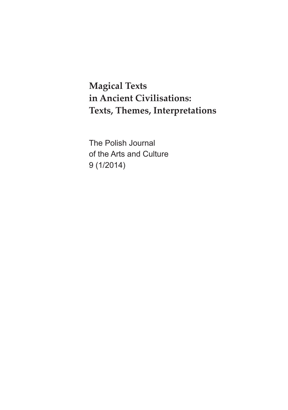**Magical Texts in Ancient Civilisations: Texts, Themes, Interpretations**

The Polish Journal of the Arts and Culture 9 (1/2014)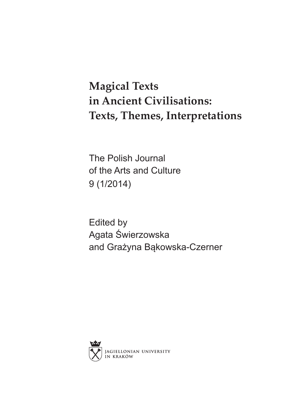## **Magical Texts in Ancient Civilisations: Texts, Themes, Interpretations**

The Polish Journal of the Arts and Culture 9 (1/2014)

Edited by Agata Świerzowska and Grażyna Bąkowska-Czerner

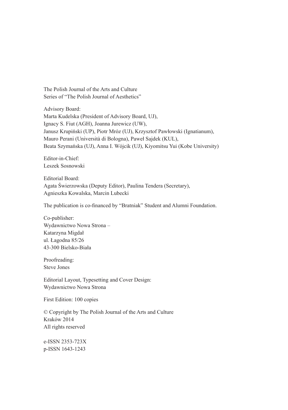The Polish Journal of the Arts and Culture Series of "The Polish Journal of Aesthetics"

Advisory Board: Marta Kudelska (President of Advisory Board, UJ), Ignacy S. Fiut (AGH), Joanna Jurewicz (UW), Janusz Krupiński (UP), Piotr Mróz (UJ), Krzysztof Pawłowski (Ignatianum), Mauro Perani (Università di Bologna), Paweł Sajdek (KUL), Beata Szymańska (UJ), Anna I. Wójcik (UJ), Kiyomitsu Yui (Kobe University)

Editor-in-Chief: Leszek Sosnowski

Editorial Board: Agata Świerzowska (Deputy Editor), Paulina Tendera (Secretary), Agnieszka Kowalska, Marcin Lubecki

The publication is co-financed by "Bratniak" Student and Alumni Foundation.

Co-publisher: Wydawnictwo Nowa Strona – Katarzyna Migdał ul. Łagodna 85/26 43-300 Bielsko-Biała

Proofreading: Steve Jones

Editorial Layout, Typesetting and Cover Design: Wydawnictwo Nowa Strona

First Edition: 100 copies

© Copyright by The Polish Journal of the Arts and Culture Kraków 2014 All rights reserved

e-ISSN 2353-723X p-ISSN 1643-1243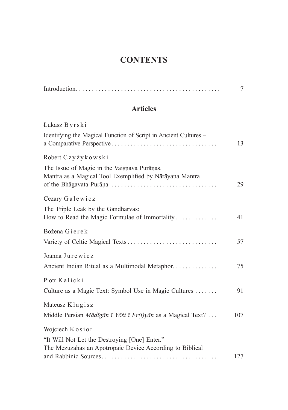## **CONTENTS**